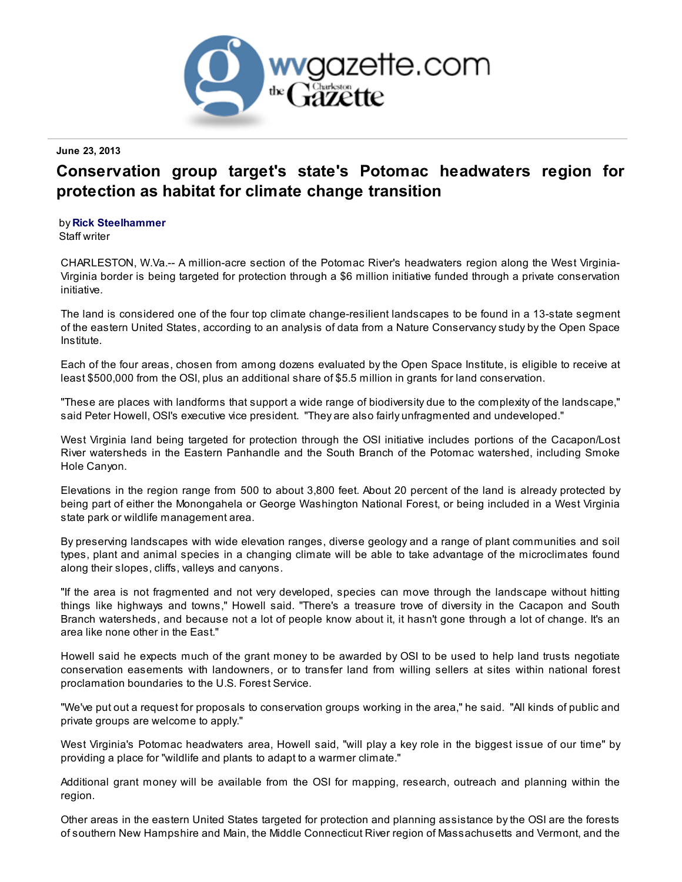

## June 23, 2013

## Conservation group target's state's Potomac headwaters region for protection as habitat for climate change transition

## by Rick [Steelhammer](http://www.wvgazette.com/News/contact/efgrryunzzre+jitnmrggr+pbz+return=/News/201306220037?display=print)

Staff writer

CHARLESTON, W.Va.-- A million-acre section of the Potomac River's headwaters region along the West Virginia-Virginia border is being targeted for protection through a \$6 million initiative funded through a private conservation initiative.

The land is considered one of the four top climate change-resilient landscapes to be found in a 13-state segment of the eastern United States, according to an analysis of data from a Nature Conservancy study by the Open Space Institute.

Each of the four areas, chosen from among dozens evaluated by the Open Space Institute, is eligible to receive at least \$500,000 from the OSI, plus an additional share of \$5.5 million in grants for land conservation.

"These are places with landforms that support a wide range of biodiversity due to the complexity of the landscape," said Peter Howell, OSI's executive vice president. "They are also fairly unfragmented and undeveloped."

West Virginia land being targeted for protection through the OSI initiative includes portions of the Cacapon/Lost River watersheds in the Eastern Panhandle and the South Branch of the Potomac watershed, including Smoke Hole Canyon.

Elevations in the region range from 500 to about 3,800 feet. About 20 percent of the land is already protected by being part of either the Monongahela or George Washington National Forest, or being included in a West Virginia state park or wildlife management area.

By preserving landscapes with wide elevation ranges, diverse geology and a range of plant communities and soil types, plant and animal species in a changing climate will be able to take advantage of the microclimates found along their slopes, cliffs, valleys and canyons.

"If the area is not fragmented and not very developed, species can move through the landscape without hitting things like highways and towns," Howell said. "There's a treasure trove of diversity in the Cacapon and South Branch watersheds, and because not a lot of people know about it, it hasn't gone through a lot of change. It's an area like none other in the East."

Howell said he expects much of the grant money to be awarded by OSI to be used to help land trusts negotiate conservation easements with landowners, or to transfer land from willing sellers at sites within national forest proclamation boundaries to the U.S. Forest Service.

"We've put out a request for proposals to conservation groups working in the area," he said. "All kinds of public and private groups are welcome to apply."

West Virginia's Potomac headwaters area, Howell said, "will play a key role in the biggest issue of our time" by providing a place for "wildlife and plants to adapt to a warmer climate."

Additional grant money will be available from the OSI for mapping, research, outreach and planning within the region.

Other areas in the eastern United States targeted for protection and planning assistance by the OSI are the forests of southern New Hampshire and Main, the Middle Connecticut River region of Massachusetts and Vermont, and the